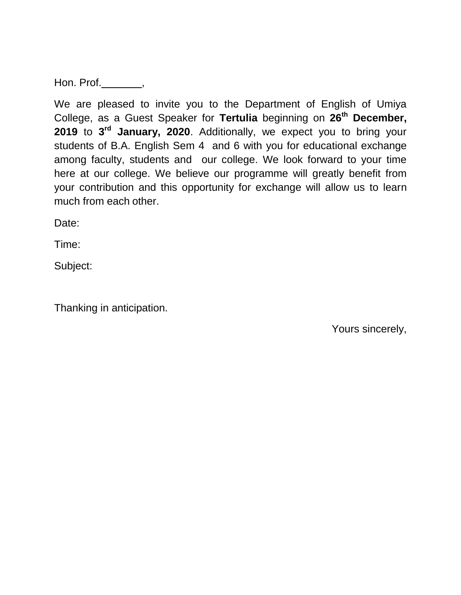Hon. Prof.  $\qquad \qquad$ ,

We are pleased to invite you to the Department of English of Umiya College, as a Guest Speaker for **Tertulia** beginning on **26th December, 2019** to **3 rd January, 2020**. Additionally, we expect you to bring your students of B.A. English Sem 4 and 6 with you for educational exchange among faculty, students and our college. We look forward to your time here at our college. We believe our programme will greatly benefit from your contribution and this opportunity for exchange will allow us to learn much from each other.

Date:

Time:

Subject:

Thanking in anticipation.

Yours sincerely,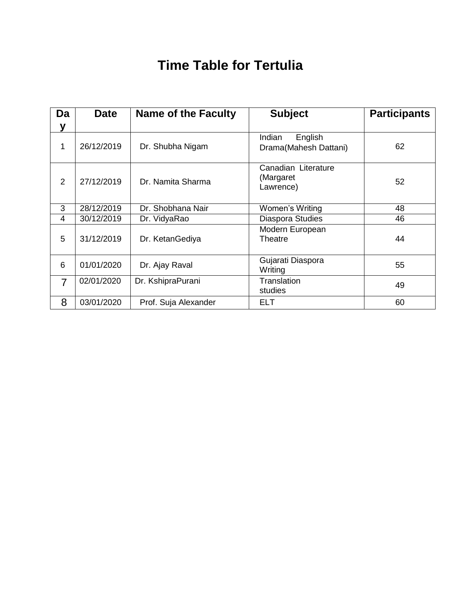## **Time Table for Tertulia**

| Da             | <b>Date</b> | <b>Name of the Faculty</b> | <b>Subject</b>                                | <b>Participants</b> |
|----------------|-------------|----------------------------|-----------------------------------------------|---------------------|
| y              |             |                            |                                               |                     |
| 1              | 26/12/2019  | Dr. Shubha Nigam           | English<br>Indian<br>Drama(Mahesh Dattani)    | 62                  |
| 2              | 27/12/2019  | Dr. Namita Sharma          | Canadian Literature<br>(Margaret<br>Lawrence) | 52                  |
| 3              | 28/12/2019  | Dr. Shobhana Nair          | Women's Writing                               | 48                  |
| 4              | 30/12/2019  | Dr. VidyaRao               | Diaspora Studies                              | 46                  |
| 5              | 31/12/2019  | Dr. KetanGediya            | Modern European<br>Theatre                    | 44                  |
| 6              | 01/01/2020  | Dr. Ajay Raval             | Gujarati Diaspora<br>Writing                  | 55                  |
| $\overline{7}$ | 02/01/2020  | Dr. KshipraPurani          | Translation<br>studies                        | 49                  |
| 8              | 03/01/2020  | Prof. Suja Alexander       | <b>ELT</b>                                    | 60                  |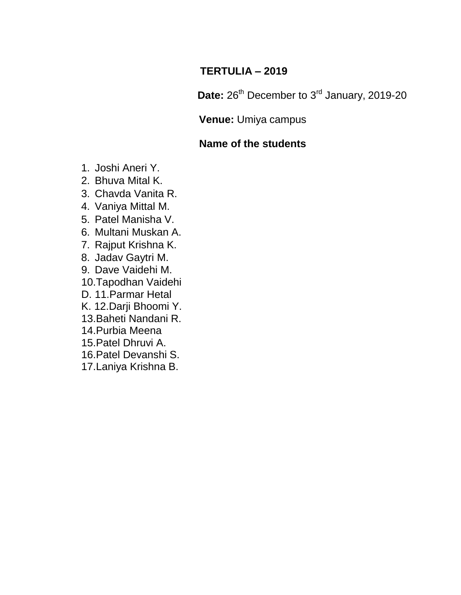#### **TERTULIA – 2019**

Date: 26<sup>th</sup> December to 3<sup>rd</sup> January, 2019-20

#### **Venue:** Umiya campus

#### **Name of the students**

- 1. Joshi Aneri Y.
- 2. Bhuva Mital K.
- 3. Chavda Vanita R.
- 4. Vaniya Mittal M.
- 5. Patel Manisha V.
- 6. Multani Muskan A.
- 7. Rajput Krishna K.
- 8. Jadav Gaytri M.
- 9. Dave Vaidehi M.
- 10.Tapodhan Vaidehi
- D. 11.Parmar Hetal
- K. 12.Darji Bhoomi Y.
- 13.Baheti Nandani R.
- 14.Purbia Meena
- 15.Patel Dhruvi A.
- 16.Patel Devanshi S.
- 17.Laniya Krishna B.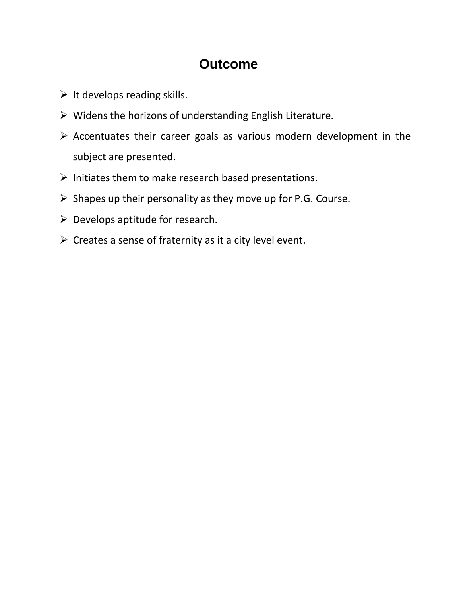### **Outcome**

- $\triangleright$  It develops reading skills.
- $\triangleright$  Widens the horizons of understanding English Literature.
- $\triangleright$  Accentuates their career goals as various modern development in the subject are presented.
- $\triangleright$  Initiates them to make research based presentations.
- $\triangleright$  Shapes up their personality as they move up for P.G. Course.
- $\triangleright$  Develops aptitude for research.
- $\triangleright$  Creates a sense of fraternity as it a city level event.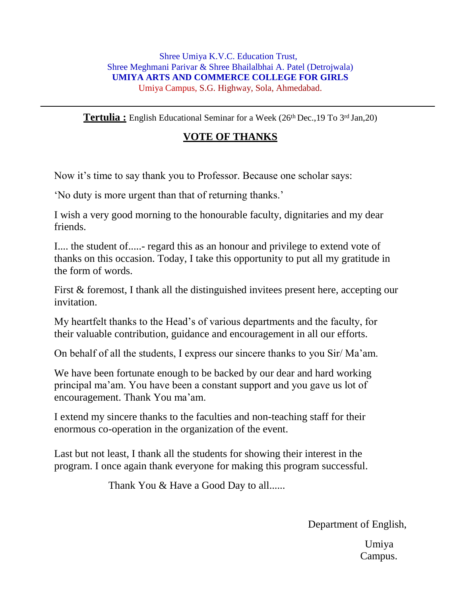**Tertulia :** English Educational Seminar for a Week (26<sup>th</sup> Dec., 19 To 3<sup>rd</sup> Jan, 20)

#### **VOTE OF THANKS**

Now it's time to say thank you to Professor. Because one scholar says:

'No duty is more urgent than that of returning thanks.'

I wish a very good morning to the honourable faculty, dignitaries and my dear friends.

I.... the student of.....- regard this as an honour and privilege to extend vote of thanks on this occasion. Today, I take this opportunity to put all my gratitude in the form of words.

First & foremost, I thank all the distinguished invitees present here, accepting our invitation.

My heartfelt thanks to the Head's of various departments and the faculty, for their valuable contribution, guidance and encouragement in all our efforts.

On behalf of all the students, I express our sincere thanks to you Sir/ Ma'am.

We have been fortunate enough to be backed by our dear and hard working principal ma'am. You have been a constant support and you gave us lot of encouragement. Thank You ma'am.

I extend my sincere thanks to the faculties and non-teaching staff for their enormous co-operation in the organization of the event.

Last but not least, I thank all the students for showing their interest in the program. I once again thank everyone for making this program successful.

Thank You & Have a Good Day to all......

Department of English,

Umiya Campus.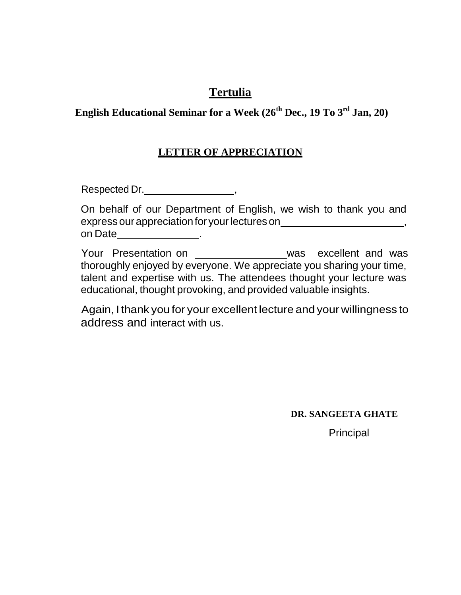#### **Tertulia**

#### **English Educational Seminar for a Week (26th Dec., 19 To 3rd Jan, 20)**

#### **LETTER OF APPRECIATION**

Respected Dr. \_\_\_\_\_\_\_\_\_\_\_\_\_\_\_\_\_\_\_\_\_\_\_\_,

On behalf of our Department of English, we wish to thank you and express our appreciation for your lectures on \_\_\_\_\_\_\_\_\_\_\_\_\_\_\_\_\_\_\_\_\_\_\_\_\_\_\_\_\_\_\_\_\_\_ on Date <u>\_\_\_\_\_\_\_\_\_\_\_\_\_\_\_\_\_</u>.

Your Presentation on \_\_\_\_\_\_\_\_\_\_\_\_\_\_\_\_\_\_\_was excellent and was thoroughly enjoyed by everyone. We appreciate you sharing your time, talent and expertise with us. The attendees thought your lecture was educational, thought provoking, and provided valuable insights.

Again, I thank you for your excellent lecture and your willingness to address and interact with us.

**DR. SANGEETA GHATE**

Principal